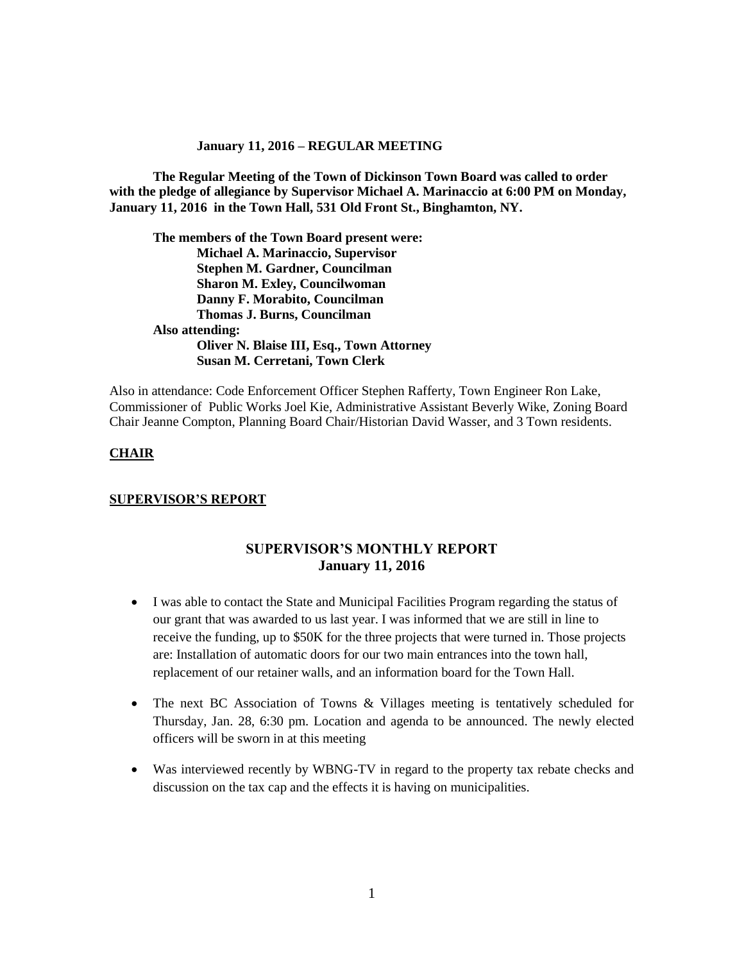#### **January 11, 2016 – REGULAR MEETING**

**The Regular Meeting of the Town of Dickinson Town Board was called to order with the pledge of allegiance by Supervisor Michael A. Marinaccio at 6:00 PM on Monday, January 11, 2016 in the Town Hall, 531 Old Front St., Binghamton, NY.** 

**The members of the Town Board present were: Michael A. Marinaccio, Supervisor Stephen M. Gardner, Councilman Sharon M. Exley, Councilwoman Danny F. Morabito, Councilman Thomas J. Burns, Councilman Also attending: Oliver N. Blaise III, Esq., Town Attorney Susan M. Cerretani, Town Clerk**

Also in attendance: Code Enforcement Officer Stephen Rafferty, Town Engineer Ron Lake, Commissioner of Public Works Joel Kie, Administrative Assistant Beverly Wike, Zoning Board Chair Jeanne Compton, Planning Board Chair/Historian David Wasser, and 3 Town residents.

### **CHAIR**

#### **SUPERVISOR'S REPORT**

# **SUPERVISOR'S MONTHLY REPORT January 11, 2016**

- I was able to contact the State and Municipal Facilities Program regarding the status of our grant that was awarded to us last year. I was informed that we are still in line to receive the funding, up to \$50K for the three projects that were turned in. Those projects are: Installation of automatic doors for our two main entrances into the town hall, replacement of our retainer walls, and an information board for the Town Hall.
- The next BC Association of Towns & Villages meeting is tentatively scheduled for Thursday, Jan. 28, 6:30 pm. Location and agenda to be announced. The newly elected officers will be sworn in at this meeting
- Was interviewed recently by WBNG-TV in regard to the property tax rebate checks and discussion on the tax cap and the effects it is having on municipalities.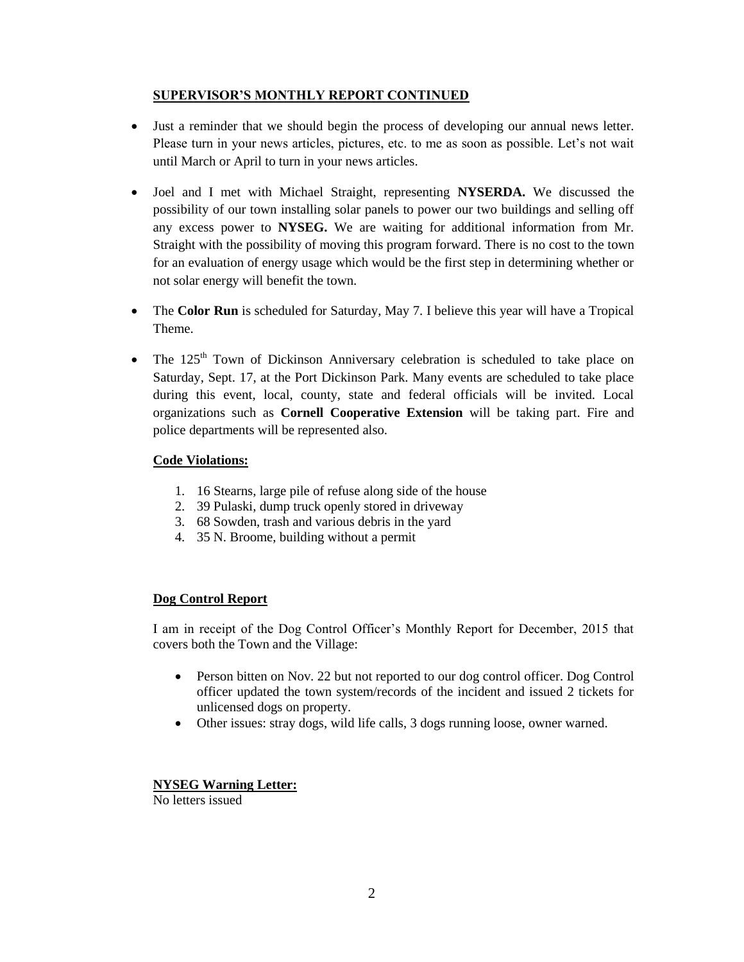# **SUPERVISOR'S MONTHLY REPORT CONTINUED**

- Just a reminder that we should begin the process of developing our annual news letter. Please turn in your news articles, pictures, etc. to me as soon as possible. Let's not wait until March or April to turn in your news articles.
- Joel and I met with Michael Straight, representing **NYSERDA.** We discussed the possibility of our town installing solar panels to power our two buildings and selling off any excess power to **NYSEG.** We are waiting for additional information from Mr. Straight with the possibility of moving this program forward. There is no cost to the town for an evaluation of energy usage which would be the first step in determining whether or not solar energy will benefit the town.
- The **Color Run** is scheduled for Saturday, May 7. I believe this year will have a Tropical Theme.
- The  $125<sup>th</sup>$  Town of Dickinson Anniversary celebration is scheduled to take place on Saturday, Sept. 17, at the Port Dickinson Park. Many events are scheduled to take place during this event, local, county, state and federal officials will be invited. Local organizations such as **Cornell Cooperative Extension** will be taking part. Fire and police departments will be represented also.

# **Code Violations:**

- 1. 16 Stearns, large pile of refuse along side of the house
- 2. 39 Pulaski, dump truck openly stored in driveway
- 3. 68 Sowden, trash and various debris in the yard
- 4. 35 N. Broome, building without a permit

# **Dog Control Report**

I am in receipt of the Dog Control Officer's Monthly Report for December, 2015 that covers both the Town and the Village:

- Person bitten on Nov. 22 but not reported to our dog control officer. Dog Control officer updated the town system/records of the incident and issued 2 tickets for unlicensed dogs on property.
- Other issues: stray dogs, wild life calls, 3 dogs running loose, owner warned.

# **NYSEG Warning Letter:**

No letters issued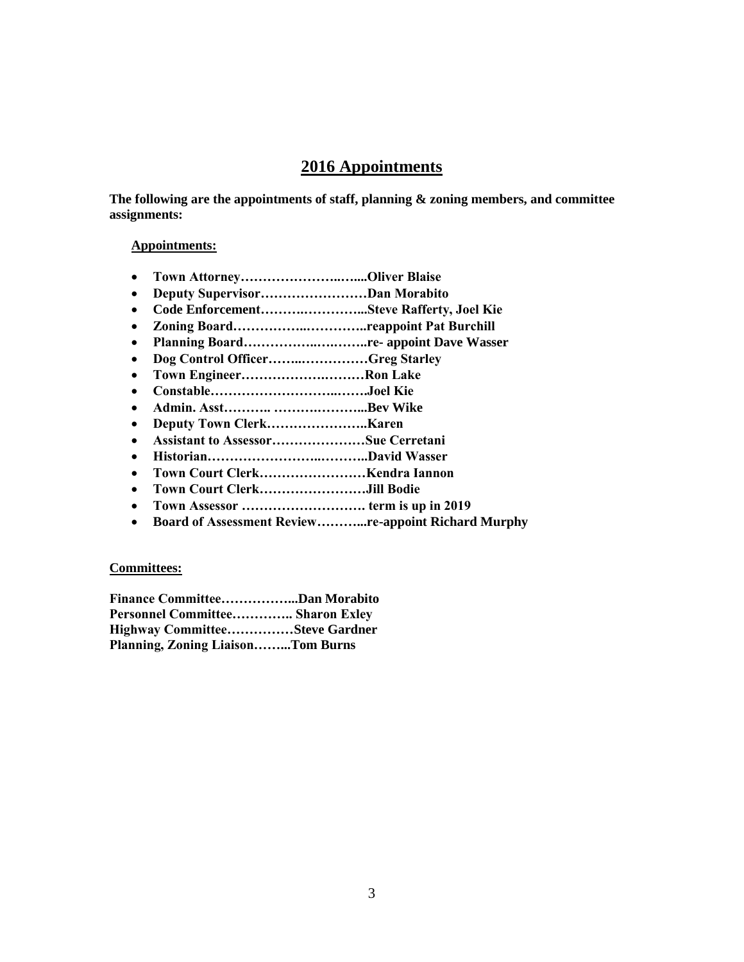# **2016 Appointments**

**The following are the appointments of staff, planning & zoning members, and committee assignments:**

### **Appointments:**

- **Town Attorney…………………..…....Oliver Blaise**
- **Deputy Supervisor……………………Dan Morabito**
- **Code Enforcement……….…………...Steve Rafferty, Joel Kie**
- **Zoning Board……………..…………..reappoint Pat Burchill**
- **Planning Board……………..….……..re- appoint Dave Wasser**
- **Dog Control Officer……..……………Greg Starley**
- **Town Engineer……………….………Ron Lake**
- **Constable………………………..…….Joel Kie**
- **Admin. Asst……….. ……….………...Bev Wike**
- **Deputy Town Clerk…………………..Karen**
- **Assistant to Assessor…………………Sue Cerretani**
- **Historian……………………..………..David Wasser**
- **Town Court Clerk……………………Kendra Iannon**
- **Town Court Clerk……………………Jill Bodie**
- **Town Assessor ………………………. term is up in 2019**
- **Board of Assessment Review………...re-appoint Richard Murphy**

# **Committees:**

| Finance CommitteeDan Morabito            |  |  |
|------------------------------------------|--|--|
| Personnel Committee Sharon Exley         |  |  |
| Highway CommitteeSteve Gardner           |  |  |
| <b>Planning, Zoning LiaisonTom Burns</b> |  |  |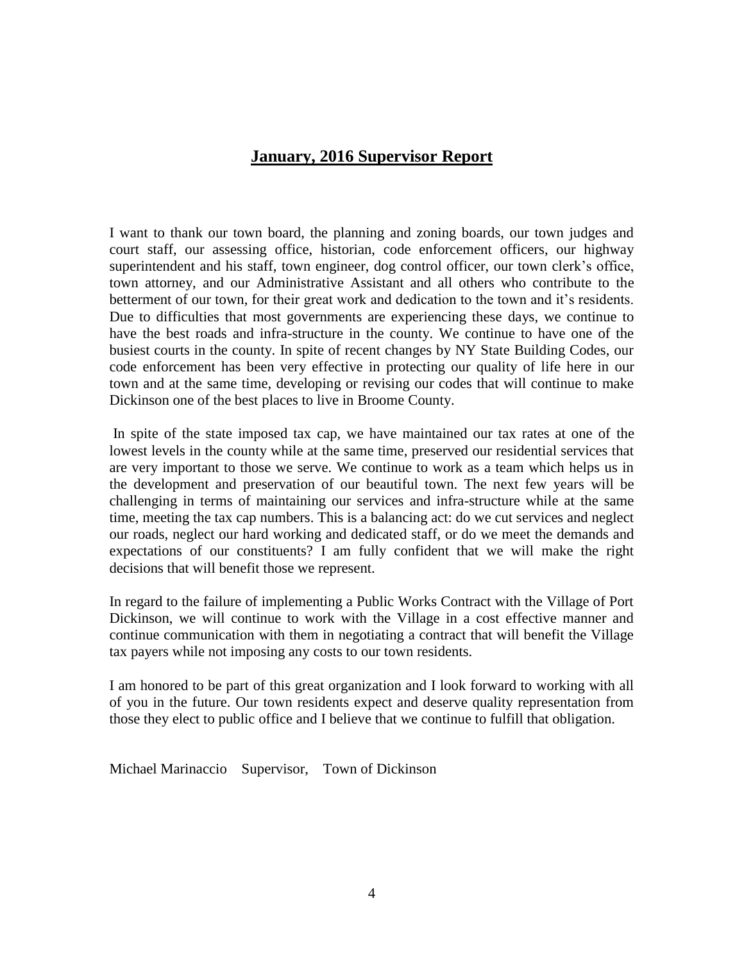# **January, 2016 Supervisor Report**

I want to thank our town board, the planning and zoning boards, our town judges and court staff, our assessing office, historian, code enforcement officers, our highway superintendent and his staff, town engineer, dog control officer, our town clerk's office, town attorney, and our Administrative Assistant and all others who contribute to the betterment of our town, for their great work and dedication to the town and it's residents. Due to difficulties that most governments are experiencing these days, we continue to have the best roads and infra-structure in the county. We continue to have one of the busiest courts in the county. In spite of recent changes by NY State Building Codes, our code enforcement has been very effective in protecting our quality of life here in our town and at the same time, developing or revising our codes that will continue to make Dickinson one of the best places to live in Broome County.

In spite of the state imposed tax cap, we have maintained our tax rates at one of the lowest levels in the county while at the same time, preserved our residential services that are very important to those we serve. We continue to work as a team which helps us in the development and preservation of our beautiful town. The next few years will be challenging in terms of maintaining our services and infra-structure while at the same time, meeting the tax cap numbers. This is a balancing act: do we cut services and neglect our roads, neglect our hard working and dedicated staff, or do we meet the demands and expectations of our constituents? I am fully confident that we will make the right decisions that will benefit those we represent.

In regard to the failure of implementing a Public Works Contract with the Village of Port Dickinson, we will continue to work with the Village in a cost effective manner and continue communication with them in negotiating a contract that will benefit the Village tax payers while not imposing any costs to our town residents.

I am honored to be part of this great organization and I look forward to working with all of you in the future. Our town residents expect and deserve quality representation from those they elect to public office and I believe that we continue to fulfill that obligation.

Michael Marinaccio Supervisor, Town of Dickinson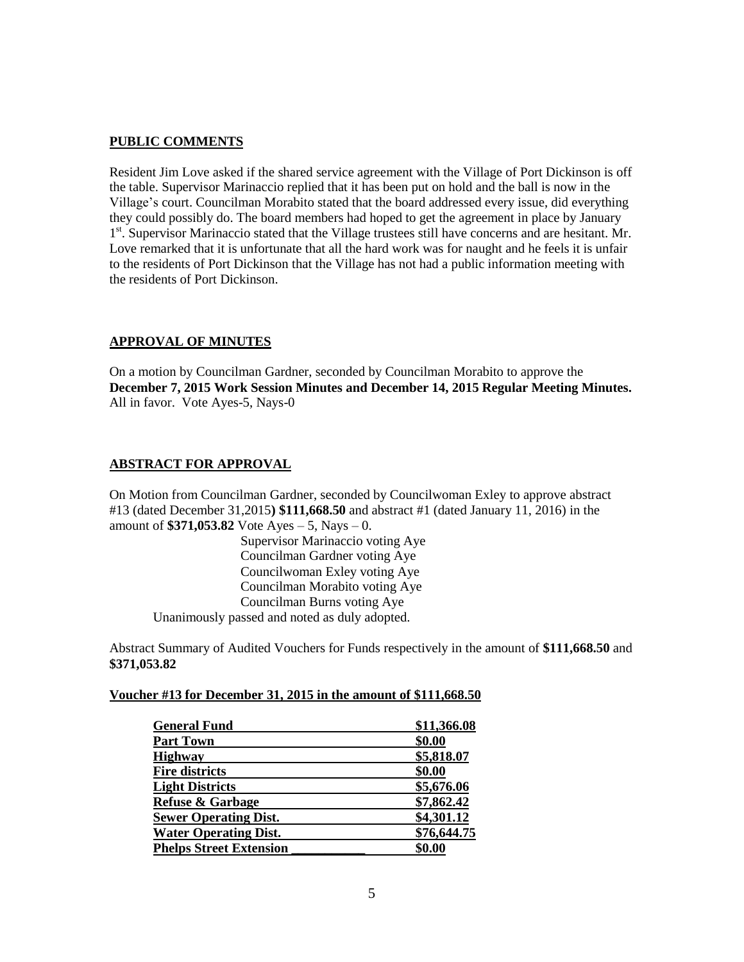### **PUBLIC COMMENTS**

Resident Jim Love asked if the shared service agreement with the Village of Port Dickinson is off the table. Supervisor Marinaccio replied that it has been put on hold and the ball is now in the Village's court. Councilman Morabito stated that the board addressed every issue, did everything they could possibly do. The board members had hoped to get the agreement in place by January 1<sup>st</sup>. Supervisor Marinaccio stated that the Village trustees still have concerns and are hesitant. Mr. Love remarked that it is unfortunate that all the hard work was for naught and he feels it is unfair to the residents of Port Dickinson that the Village has not had a public information meeting with the residents of Port Dickinson.

# **APPROVAL OF MINUTES**

On a motion by Councilman Gardner, seconded by Councilman Morabito to approve the **December 7, 2015 Work Session Minutes and December 14, 2015 Regular Meeting Minutes.** All in favor. Vote Ayes-5, Nays-0

# **ABSTRACT FOR APPROVAL**

On Motion from Councilman Gardner, seconded by Councilwoman Exley to approve abstract #13 (dated December 31,2015**) \$111,668.50** and abstract #1 (dated January 11, 2016) in the amount of **\$371,053.82** Vote Ayes – 5, Nays – 0.

Supervisor Marinaccio voting Aye Councilman Gardner voting Aye Councilwoman Exley voting Aye Councilman Morabito voting Aye Councilman Burns voting Aye Unanimously passed and noted as duly adopted.

Abstract Summary of Audited Vouchers for Funds respectively in the amount of **\$111,668.50** and **\$371,053.82**

#### **Voucher #13 for December 31, 2015 in the amount of \$111,668.50**

| <b>General Fund</b>            | \$11,366.08 |
|--------------------------------|-------------|
| <b>Part Town</b>               | \$0.00      |
| <b>Highway</b>                 | \$5,818.07  |
| <b>Fire districts</b>          | \$0.00      |
| <b>Light Districts</b>         | \$5,676.06  |
| <b>Refuse &amp; Garbage</b>    | \$7,862.42  |
| <b>Sewer Operating Dist.</b>   | \$4,301.12  |
| <b>Water Operating Dist.</b>   | \$76,644.75 |
| <b>Phelps Street Extension</b> | \$0.00      |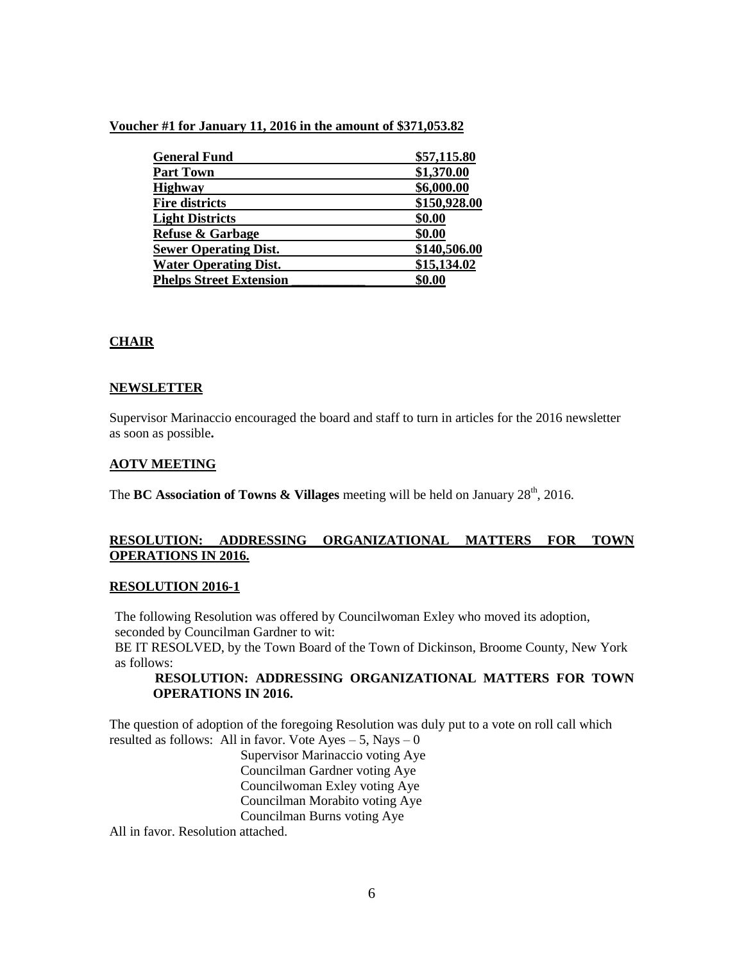### **Voucher #1 for January 11, 2016 in the amount of \$371,053.82**

| <b>General Fund</b>            | \$57,115.80  |
|--------------------------------|--------------|
| <b>Part Town</b>               | \$1,370.00   |
| <b>Highway</b>                 | \$6,000.00   |
| <b>Fire districts</b>          | \$150,928.00 |
| <b>Light Districts</b>         | \$0.00       |
| <b>Refuse &amp; Garbage</b>    | \$0.00       |
| <b>Sewer Operating Dist.</b>   | \$140,506.00 |
| <b>Water Operating Dist.</b>   | \$15,134.02  |
| <b>Phelps Street Extension</b> | \$0.00       |

# **CHAIR**

# **NEWSLETTER**

Supervisor Marinaccio encouraged the board and staff to turn in articles for the 2016 newsletter as soon as possible**.**

### **AOTV MEETING**

The **BC Association of Towns & Villages** meeting will be held on January 28<sup>th</sup>, 2016.

# **RESOLUTION: ADDRESSING ORGANIZATIONAL MATTERS FOR TOWN OPERATIONS IN 2016.**

#### **RESOLUTION 2016-1**

The following Resolution was offered by Councilwoman Exley who moved its adoption, seconded by Councilman Gardner to wit: BE IT RESOLVED, by the Town Board of the Town of Dickinson, Broome County, New York

as follows:

# **RESOLUTION: ADDRESSING ORGANIZATIONAL MATTERS FOR TOWN OPERATIONS IN 2016.**

The question of adoption of the foregoing Resolution was duly put to a vote on roll call which resulted as follows: All in favor. Vote  $Ayes - 5$ , Nays – 0

Supervisor Marinaccio voting Aye Councilman Gardner voting Aye Councilwoman Exley voting Aye Councilman Morabito voting Aye Councilman Burns voting Aye

All in favor. Resolution attached.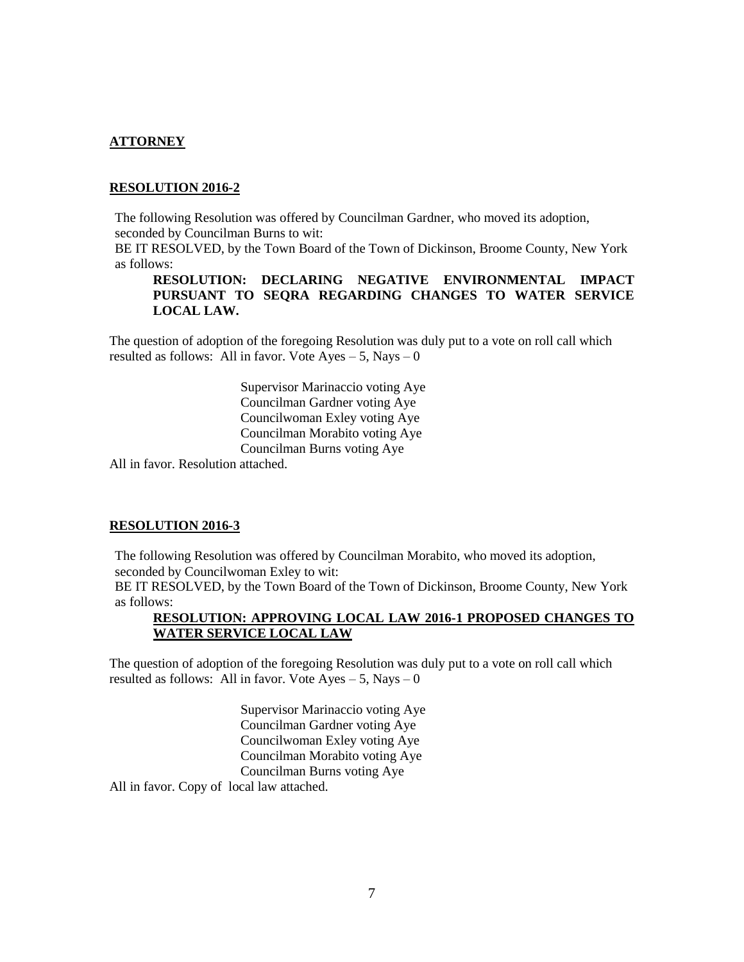# **ATTORNEY**

#### **RESOLUTION 2016-2**

The following Resolution was offered by Councilman Gardner, who moved its adoption, seconded by Councilman Burns to wit:

BE IT RESOLVED, by the Town Board of the Town of Dickinson, Broome County, New York as follows:

**RESOLUTION: DECLARING NEGATIVE ENVIRONMENTAL IMPACT PURSUANT TO SEQRA REGARDING CHANGES TO WATER SERVICE LOCAL LAW.**

The question of adoption of the foregoing Resolution was duly put to a vote on roll call which resulted as follows: All in favor. Vote  $Ayes - 5$ , Nays – 0

> Supervisor Marinaccio voting Aye Councilman Gardner voting Aye Councilwoman Exley voting Aye Councilman Morabito voting Aye Councilman Burns voting Aye

All in favor. Resolution attached.

#### **RESOLUTION 2016-3**

The following Resolution was offered by Councilman Morabito, who moved its adoption, seconded by Councilwoman Exley to wit:

BE IT RESOLVED, by the Town Board of the Town of Dickinson, Broome County, New York as follows:

# **RESOLUTION: APPROVING LOCAL LAW 2016-1 PROPOSED CHANGES TO WATER SERVICE LOCAL LAW**

The question of adoption of the foregoing Resolution was duly put to a vote on roll call which resulted as follows: All in favor. Vote  $Ayes - 5$ , Nays  $-0$ 

> Supervisor Marinaccio voting Aye Councilman Gardner voting Aye Councilwoman Exley voting Aye Councilman Morabito voting Aye Councilman Burns voting Aye

All in favor. Copy of local law attached.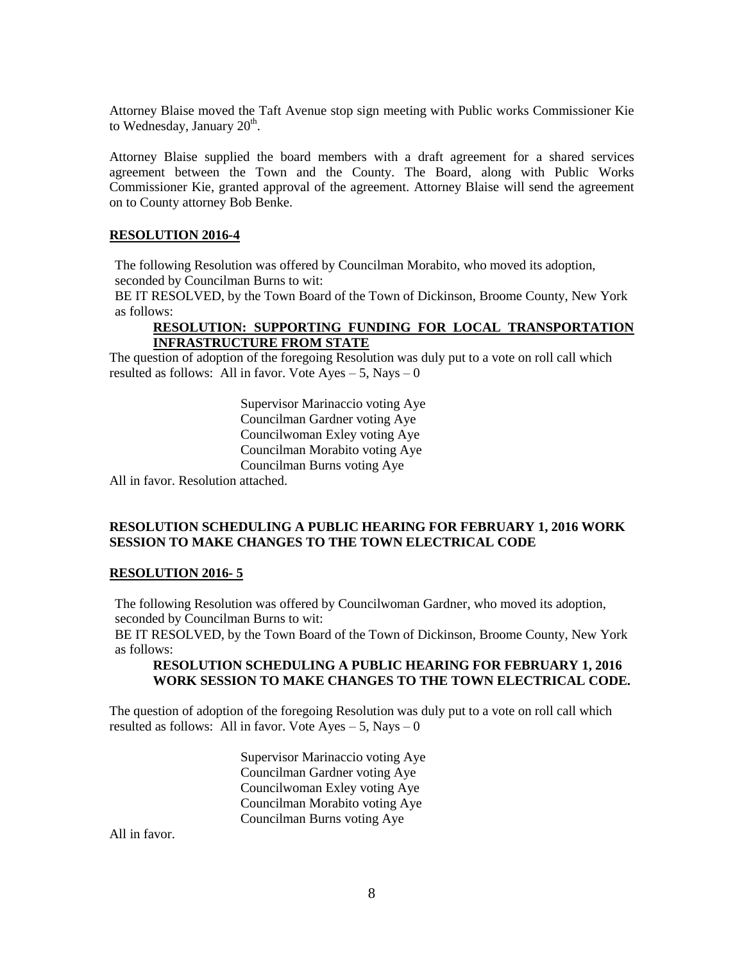Attorney Blaise moved the Taft Avenue stop sign meeting with Public works Commissioner Kie to Wednesday, January 20<sup>th</sup>.

Attorney Blaise supplied the board members with a draft agreement for a shared services agreement between the Town and the County. The Board, along with Public Works Commissioner Kie, granted approval of the agreement. Attorney Blaise will send the agreement on to County attorney Bob Benke.

#### **RESOLUTION 2016-4**

The following Resolution was offered by Councilman Morabito, who moved its adoption, seconded by Councilman Burns to wit:

BE IT RESOLVED, by the Town Board of the Town of Dickinson, Broome County, New York as follows:

#### **RESOLUTION: SUPPORTING FUNDING FOR LOCAL TRANSPORTATION INFRASTRUCTURE FROM STATE**

The question of adoption of the foregoing Resolution was duly put to a vote on roll call which resulted as follows: All in favor. Vote  $Ayes - 5$ , Nays – 0

> Supervisor Marinaccio voting Aye Councilman Gardner voting Aye Councilwoman Exley voting Aye Councilman Morabito voting Aye Councilman Burns voting Aye

All in favor. Resolution attached.

### **RESOLUTION SCHEDULING A PUBLIC HEARING FOR FEBRUARY 1, 2016 WORK SESSION TO MAKE CHANGES TO THE TOWN ELECTRICAL CODE**

#### **RESOLUTION 2016- 5**

The following Resolution was offered by Councilwoman Gardner, who moved its adoption, seconded by Councilman Burns to wit:

BE IT RESOLVED, by the Town Board of the Town of Dickinson, Broome County, New York as follows:

### **RESOLUTION SCHEDULING A PUBLIC HEARING FOR FEBRUARY 1, 2016 WORK SESSION TO MAKE CHANGES TO THE TOWN ELECTRICAL CODE.**

The question of adoption of the foregoing Resolution was duly put to a vote on roll call which resulted as follows: All in favor. Vote  $Ayes - 5$ , Nays – 0

> Supervisor Marinaccio voting Aye Councilman Gardner voting Aye Councilwoman Exley voting Aye Councilman Morabito voting Aye Councilman Burns voting Aye

All in favor.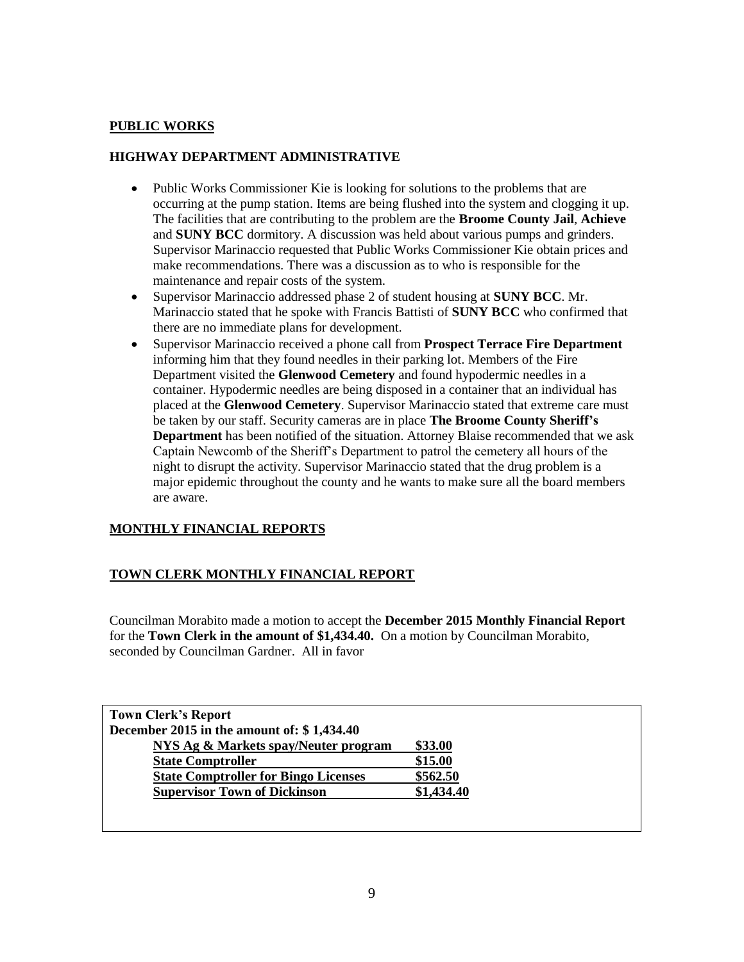# **PUBLIC WORKS**

# **HIGHWAY DEPARTMENT ADMINISTRATIVE**

- Public Works Commissioner Kie is looking for solutions to the problems that are occurring at the pump station. Items are being flushed into the system and clogging it up. The facilities that are contributing to the problem are the **Broome County Jail**, **Achieve**  and **SUNY BCC** dormitory. A discussion was held about various pumps and grinders. Supervisor Marinaccio requested that Public Works Commissioner Kie obtain prices and make recommendations. There was a discussion as to who is responsible for the maintenance and repair costs of the system.
- Supervisor Marinaccio addressed phase 2 of student housing at **SUNY BCC**. Mr. Marinaccio stated that he spoke with Francis Battisti of **SUNY BCC** who confirmed that there are no immediate plans for development.
- Supervisor Marinaccio received a phone call from **Prospect Terrace Fire Department** informing him that they found needles in their parking lot. Members of the Fire Department visited the **Glenwood Cemetery** and found hypodermic needles in a container. Hypodermic needles are being disposed in a container that an individual has placed at the **Glenwood Cemetery**. Supervisor Marinaccio stated that extreme care must be taken by our staff. Security cameras are in place **The Broome County Sheriff's Department** has been notified of the situation. Attorney Blaise recommended that we ask Captain Newcomb of the Sheriff's Department to patrol the cemetery all hours of the night to disrupt the activity. Supervisor Marinaccio stated that the drug problem is a major epidemic throughout the county and he wants to make sure all the board members are aware.

# **MONTHLY FINANCIAL REPORTS**

# **TOWN CLERK MONTHLY FINANCIAL REPORT**

Councilman Morabito made a motion to accept the **December 2015 Monthly Financial Report** for the **Town Clerk in the amount of \$1,434.40.** On a motion by Councilman Morabito, seconded by Councilman Gardner. All in favor

| <b>Town Clerk's Report</b>                  |            |  |
|---------------------------------------------|------------|--|
| December 2015 in the amount of: $$1,434.40$ |            |  |
| NYS Ag & Markets spay/Neuter program        | \$33.00    |  |
| <b>State Comptroller</b>                    | \$15.00    |  |
| <b>State Comptroller for Bingo Licenses</b> | \$562.50   |  |
| <b>Supervisor Town of Dickinson</b>         | \$1,434.40 |  |
|                                             |            |  |